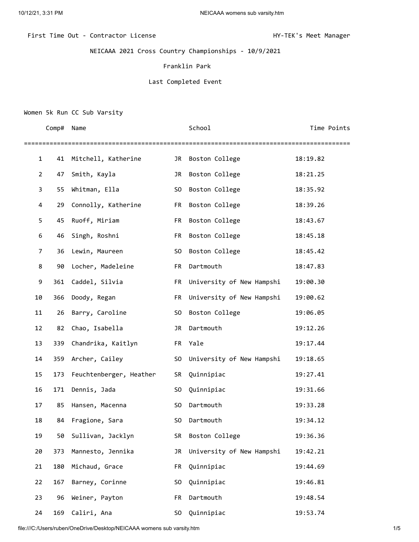# First Time Out - Contractor License **HY-TEK's Meet Manager**

NEICAAA 2021 Cross Country Championships - 10/9/2021

### Franklin Park

#### Last Completed Event

## Women 5k Run CC Sub Varsity

|                | Comp# | Name                    |                | School                    | Time Points |
|----------------|-------|-------------------------|----------------|---------------------------|-------------|
| 1              | 41    | Mitchell, Katherine     | JR             | Boston College            | 18:19.82    |
| $\overline{2}$ | 47    | Smith, Kayla            | JR             | Boston College            | 18:21.25    |
| 3              | 55    | Whitman, Ella           | S <sub>0</sub> | Boston College            | 18:35.92    |
| 4              | 29    | Connolly, Katherine     | FR             | Boston College            | 18:39.26    |
| 5              | 45    | Ruoff, Miriam           | FR             | Boston College            | 18:43.67    |
| 6              | 46    | Singh, Roshni           | FR             | Boston College            | 18:45.18    |
| 7              | 36    | Lewin, Maureen          | S <sub>0</sub> | Boston College            | 18:45.42    |
| 8              | 90    | Locher, Madeleine       | FR             | Dartmouth                 | 18:47.83    |
| 9              | 361   | Caddel, Silvia          | FR             | University of New Hampshi | 19:00.30    |
| 10             | 366   | Doody, Regan            | FR             | University of New Hampshi | 19:00.62    |
| 11             | 26    | Barry, Caroline         | S <sub>0</sub> | Boston College            | 19:06.05    |
| 12             | 82    | Chao, Isabella          | JR             | Dartmouth                 | 19:12.26    |
| 13             | 339   | Chandrika, Kaitlyn      | FR             | Yale                      | 19:17.44    |
| 14             | 359   | Archer, Cailey          | S0             | University of New Hampshi | 19:18.65    |
| 15             | 173   | Feuchtenberger, Heather | SR             | Quinnipiac                | 19:27.41    |
| 16             | 171   | Dennis, Jada            | S0             | Quinnipiac                | 19:31.66    |
| 17             | 85    | Hansen, Macenna         | SO.            | Dartmouth                 | 19:33.28    |
| 18             | 84    | Fragione, Sara          | S0             | Dartmouth                 | 19:34.12    |
| 19             | 50    | Sullivan, Jacklyn       | SR             | Boston College            | 19:36.36    |
| 20             | 373   | Mannesto, Jennika       | JR             | University of New Hampshi | 19:42.21    |
| 21             | 180   | Michaud, Grace          | FR             | Quinnipiac                | 19:44.69    |
| 22             | 167   | Barney, Corinne         | S0             | Quinnipiac                | 19:46.81    |
| 23             | 96    | Weiner, Payton          | FR             | Dartmouth                 | 19:48.54    |
| 24             | 169   | Caliri, Ana             | S0             | Quinnipiac                | 19:53.74    |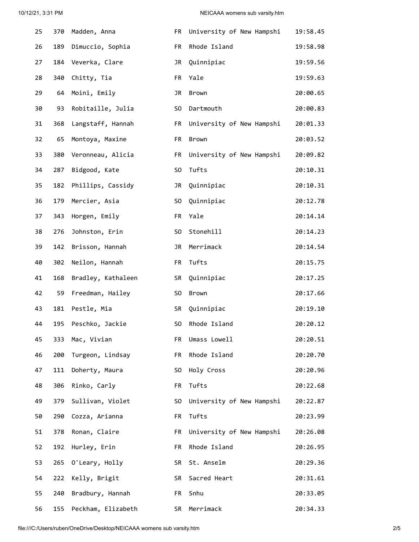## 10/12/21, 3:31 PM **NEICAAA** womens sub varsity.htm

| 25 | 370 | Madden, Anna       | FR             | University of New Hampshi | 19:58.45 |
|----|-----|--------------------|----------------|---------------------------|----------|
| 26 | 189 | Dimuccio, Sophia   | FR             | Rhode Island              | 19:58.98 |
| 27 | 184 | Veverka, Clare     | JR             | Quinnipiac                | 19:59.56 |
| 28 | 340 | Chitty, Tia        | <b>FR</b>      | Yale                      | 19:59.63 |
| 29 | 64  | Moini, Emily       | JR             | Brown                     | 20:00.65 |
| 30 | 93  | Robitaille, Julia  | S <sub>0</sub> | Dartmouth                 | 20:00.83 |
| 31 | 368 | Langstaff, Hannah  | FR             | University of New Hampshi | 20:01.33 |
| 32 | 65  | Montoya, Maxine    | FR             | Brown                     | 20:03.52 |
| 33 | 380 | Veronneau, Alicia  | FR             | University of New Hampshi | 20:09.82 |
| 34 | 287 | Bidgood, Kate      | S <sub>0</sub> | Tufts                     | 20:10.31 |
| 35 | 182 | Phillips, Cassidy  | JR             | Quinnipiac                | 20:10.31 |
| 36 | 179 | Mercier, Asia      | S <sub>0</sub> | Quinnipiac                | 20:12.78 |
| 37 | 343 | Horgen, Emily      | FR             | Yale                      | 20:14.14 |
| 38 | 276 | Johnston, Erin     | S <sub>0</sub> | Stonehill                 | 20:14.23 |
| 39 | 142 | Brisson, Hannah    | JR             | Merrimack                 | 20:14.54 |
| 40 | 302 | Neilon, Hannah     | FR             | Tufts                     | 20:15.75 |
| 41 | 168 | Bradley, Kathaleen | SR             | Quinnipiac                | 20:17.25 |
| 42 | 59  | Freedman, Hailey   | S <sub>0</sub> | Brown                     | 20:17.66 |
| 43 | 181 | Pestle, Mia        | SR             | Quinnipiac                | 20:19.10 |
| 44 | 195 | Peschko, Jackie    | S <sub>0</sub> | Rhode Island              | 20:20.12 |
| 45 | 333 | Mac, Vivian        | FR             | Umass Lowell              | 20:20.51 |
| 46 | 200 | Turgeon, Lindsay   | FR             | Rhode Island              | 20:20.70 |
| 47 | 111 | Doherty, Maura     | S0             | Holy Cross                | 20:20.96 |
| 48 | 306 | Rinko, Carly       | FR             | Tufts                     | 20:22.68 |
| 49 | 379 | Sullivan, Violet   | S <sub>0</sub> | University of New Hampshi | 20:22.87 |
| 50 | 290 | Cozza, Arianna     | FR             | Tufts                     | 20:23.99 |
| 51 | 378 | Ronan, Claire      | FR             | University of New Hampshi | 20:26.08 |
| 52 | 192 | Hurley, Erin       | FR             | Rhode Island              | 20:26.95 |
| 53 | 265 | O'Leary, Holly     | SR             | St. Anselm                | 20:29.36 |
| 54 | 222 | Kelly, Brigit      | <b>SR</b>      | Sacred Heart              | 20:31.61 |
| 55 | 240 | Bradbury, Hannah   | FR             | Snhu                      | 20:33.05 |
| 56 | 155 | Peckham, Elizabeth | SR.            | Merrimack                 | 20:34.33 |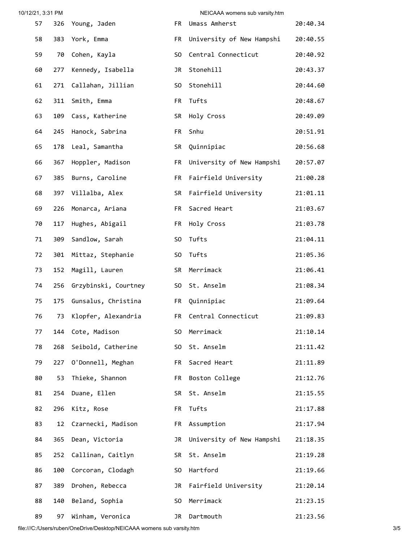| 10/12/21, 3:31 PM |     |                      |                | NEICAAA womens sub varsity.htm |          |
|-------------------|-----|----------------------|----------------|--------------------------------|----------|
| 57                | 326 | Young, Jaden         | FR             | Umass Amherst                  | 20:40.34 |
| 58                | 383 | York, Emma           | FR             | University of New Hampshi      | 20:40.55 |
| 59                | 70  | Cohen, Kayla         | S <sub>0</sub> | Central Connecticut            | 20:40.92 |
| 60                | 277 | Kennedy, Isabella    | JR             | Stonehill                      | 20:43.37 |
| 61                | 271 | Callahan, Jillian    | S <sub>0</sub> | Stonehill                      | 20:44.60 |
| 62                | 311 | Smith, Emma          | FR             | Tufts                          | 20:48.67 |
| 63                | 109 | Cass, Katherine      | SR             | Holy Cross                     | 20:49.09 |
| 64                | 245 | Hanock, Sabrina      | FR             | Snhu                           | 20:51.91 |
| 65                | 178 | Leal, Samantha       | SR             | Quinnipiac                     | 20:56.68 |
| 66                | 367 | Hoppler, Madison     | FR             | University of New Hampshi      | 20:57.07 |
| 67                | 385 | Burns, Caroline      | FR             | Fairfield University           | 21:00.28 |
| 68                | 397 | Villalba, Alex       | SR             | Fairfield University           | 21:01.11 |
| 69                | 226 | Monarca, Ariana      | FR             | Sacred Heart                   | 21:03.67 |
| 70                | 117 | Hughes, Abigail      | FR             | Holy Cross                     | 21:03.78 |
| 71                | 309 | Sandlow, Sarah       | S <sub>0</sub> | Tufts                          | 21:04.11 |
| 72                | 301 | Mittaz, Stephanie    | S <sub>0</sub> | Tufts                          | 21:05.36 |
| 73                | 152 | Magill, Lauren       | <b>SR</b>      | Merrimack                      | 21:06.41 |
| 74                | 256 | Grzybinski, Courtney | S <sub>0</sub> | St. Anselm                     | 21:08.34 |
| 75                | 175 | Gunsalus, Christina  | FR             | Quinnipiac                     | 21:09.64 |
| 76                | 73  | Klopfer, Alexandria  | FR             | Central Connecticut            | 21:09.83 |
| 77                | 144 | Cote, Madison        | S <sub>0</sub> | Merrimack                      | 21:10.14 |
| 78                | 268 | Seibold, Catherine   | S0             | St. Anselm                     | 21:11.42 |
| 79                | 227 | O'Donnell, Meghan    | FR             | Sacred Heart                   | 21:11.89 |
| 80                | 53  | Thieke, Shannon      | FR             | Boston College                 | 21:12.76 |
| 81                | 254 | Duane, Ellen         | SR             | St. Anselm                     | 21:15.55 |
| 82                | 296 | Kitz, Rose           | FR             | Tufts                          | 21:17.88 |
| 83                | 12  | Czarnecki, Madison   | FR             | Assumption                     | 21:17.94 |
| 84                | 365 | Dean, Victoria       | JR             | University of New Hampshi      | 21:18.35 |
| 85                | 252 | Callinan, Caitlyn    | SR             | St. Anselm                     | 21:19.28 |
| 86                | 100 | Corcoran, Clodagh    | SO             | Hartford                       | 21:19.66 |
| 87                | 389 | Drohen, Rebecca      | JR             | Fairfield University           | 21:20.14 |
| 88                | 140 | Beland, Sophia       | S <sub>0</sub> | Merrimack                      | 21:23.15 |
| 89                | 97  | Winham, Veronica     | JR             | Dartmouth                      | 21:23.56 |

file:///C:/Users/ruben/OneDrive/Desktop/NEICAAA womens sub varsity.htm 3/5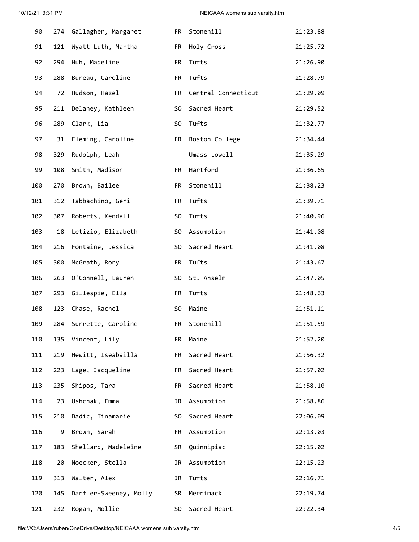| 90  | 274 | Gallagher, Margaret    | FR             | Stonehill           | 21:23.88 |
|-----|-----|------------------------|----------------|---------------------|----------|
| 91  | 121 | Wyatt-Luth, Martha     | FR             | Holy Cross          | 21:25.72 |
| 92  | 294 | Huh, Madeline          | FR             | Tufts               | 21:26.90 |
| 93  | 288 | Bureau, Caroline       | FR.            | Tufts               | 21:28.79 |
| 94  | 72  | Hudson, Hazel          | FR             | Central Connecticut | 21:29.09 |
| 95  | 211 | Delaney, Kathleen      | S <sub>0</sub> | Sacred Heart        | 21:29.52 |
| 96  | 289 | Clark, Lia             | S0             | Tufts               | 21:32.77 |
| 97  | 31  | Fleming, Caroline      | FR             | Boston College      | 21:34.44 |
| 98  | 329 | Rudolph, Leah          |                | Umass Lowell        | 21:35.29 |
| 99  | 108 | Smith, Madison         | FR             | Hartford            | 21:36.65 |
| 100 | 270 | Brown, Bailee          | FR             | Stonehill           | 21:38.23 |
| 101 | 312 | Tabbachino, Geri       | FR             | Tufts               | 21:39.71 |
| 102 | 307 | Roberts, Kendall       | S <sub>0</sub> | Tufts               | 21:40.96 |
| 103 | 18  | Letizio, Elizabeth     | S <sub>0</sub> | Assumption          | 21:41.08 |
| 104 | 216 | Fontaine, Jessica      | S0             | Sacred Heart        | 21:41.08 |
| 105 | 300 | McGrath, Rory          | FR             | Tufts               | 21:43.67 |
| 106 | 263 | O'Connell, Lauren      | S <sub>0</sub> | St. Anselm          | 21:47.05 |
| 107 | 293 | Gillespie, Ella        | FR             | Tufts               | 21:48.63 |
| 108 | 123 | Chase, Rachel          | SO             | Maine               | 21:51.11 |
| 109 | 284 | Surrette, Caroline     | FR.            | Stonehill           | 21:51.59 |
| 110 | 135 | Vincent, Lily          | FR             | Maine               | 21:52.20 |
| 111 | 219 | Hewitt, Iseabailla     | FR             | Sacred Heart        | 21:56.32 |
| 112 | 223 | Lage, Jacqueline       | FR             | Sacred Heart        | 21:57.02 |
| 113 | 235 | Shipos, Tara           | FR.            | Sacred Heart        | 21:58.10 |
| 114 | 23  | Ushchak, Emma          | JR             | Assumption          | 21:58.86 |
| 115 | 210 | Dadic, Tinamarie       | S <sub>0</sub> | Sacred Heart        | 22:06.09 |
| 116 | 9   | Brown, Sarah           | FR             | Assumption          | 22:13.03 |
| 117 | 183 | Shellard, Madeleine    | SR             | Quinnipiac          | 22:15.02 |
| 118 | 20  | Noecker, Stella        | JR             | Assumption          | 22:15.23 |
| 119 | 313 | Walter, Alex           | JR             | Tufts               | 22:16.71 |
| 120 | 145 | Darfler-Sweeney, Molly | SR             | Merrimack           | 22:19.74 |
| 121 | 232 | Rogan, Mollie          | S <sub>0</sub> | Sacred Heart        | 22:22.34 |